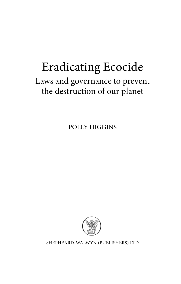# Eradicating Ecocide

## Laws and governance to prevent the destruction of our planet

POLLY HIGGINS



SHEPHEARD-WALWYN (PUBLISHERS) LTD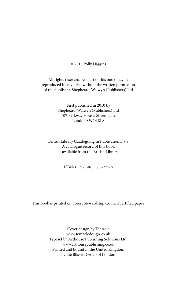#### © 2010 Polly Higgins

All rights reserved. No part of this book may be reproduced in any form without the written permission of the publisher, Shepheard-Walwyn (Publishers) Ltd

> First published in 2010 by Shepheard-Walwyn (Publishers) Ltd 107 Parkway House, Sheen Lane London sw14 8ls

British Library Cataloguing in Publication Data A catalogue record of this book is available from the British Library

ISBN-13: 978-0-85683-275-8

This book is printed on Forest Stewardship Council certified paper

Cover design by Tentacle www.tentacledesign.co.uk Typeset by Arthouse Publishing Solutions Ltd, www.arthousepublishing.co.uk Printed and bound in the United Kingdom by the Blissett Group of London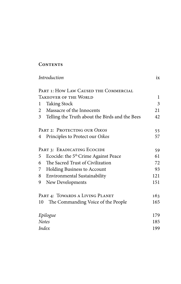### **Contents**

| Introduction                                          | ix  |
|-------------------------------------------------------|-----|
| PART 1: HOW LAW CAUSED THE COMMERCIAL                 |     |
| Takeover of the World                                 | 1   |
| <b>Taking Stock</b><br>1                              | 3   |
| Massacre of the Innocents<br>2                        | 21  |
| 3<br>Telling the Truth about the Birds and the Bees   | 42  |
| PART 2: PROTECTING OUR <i>OIKOS</i>                   | 55  |
| Principles to Protect our Oikos<br>4                  | 57  |
| PART 3: ERADICATING ECOCIDE                           | 59  |
| Ecocide: the 5 <sup>th</sup> Crime Against Peace<br>5 | 61  |
| The Sacred Trust of Civilization<br>6                 | 72  |
| <b>Holding Business to Account</b><br>7               | 93  |
| Environmental Sustainability<br>8                     | 121 |
| New Developments<br>9.                                | 151 |
| PART 4: TOWARDS A LIVING PLANET                       | 163 |
| The Commanding Voice of the People<br>10              | 165 |
| Epilogue                                              | 179 |
| <b>Notes</b>                                          | 185 |
| Index                                                 | 199 |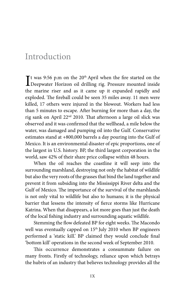### Introduction

It was 9:56 p.m on the 20<sup>th</sup> April when the fire started on the Deepwater Horizon oil drilling rig. Pressure mounted inside  $\mathbf{T}$ t was 9:56 p.m on the 20<sup>th</sup> April when the fire started on the the marine riser and as it came up it expanded rapidly and exploded. The fireball could be seen 35 miles away. 11 men were killed, 17 others were injured in the blowout. Workers had less than 5 minutes to escape. After burning for more than a day, the rig sank on April 22nd 2010. That afternoon a large oil slick was observed and it was confirmed that the wellhead, a mile below the water, was damaged and pumping oil into the Gulf. Conservative estimates stand at +800,000 barrels a day pouring into the Gulf of Mexico. It is an environmental disaster of epic proportions, one of the largest in U.S. history. BP, the third largest corporation in the world, saw 42% of their share price collapse within 48 hours.

When the oil reaches the coastline it will seep into the surrounding marshland, destroying not only the habitat of wildlife but also the very roots of the grasses that bind the land together and prevent it from subsiding into the Mississippi River delta and the Gulf of Mexico. The importance of the survival of the marshlands is not only vital to wildlife but also to humans; it is the physical barrier that lessens the intensity of fierce storms like Hurricane Katrina. When that disappears, a lot more goes than just the death of the local fishing industry and surrounding aquatic wildlife.

Stemming the flow defeated BP for eight weeks. The Macondo well was eventually capped on 15<sup>th</sup> July 2010 when BP engineers performed a 'static kill.' BP claimed they would conclude final 'bottom kill' operations in the second week of September 2010.

This occurrence demonstrates a consummate failure on many fronts. Firstly of technology, reliance upon which betrays the hubris of an industry that believes technology provides all the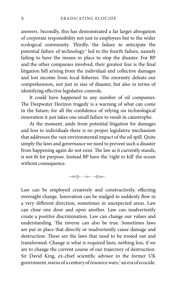answers. Secondly, this has demonstrated a far larger abrogation of corporate responsibility not just to employees but to the wider ecological community. Thirdly, the failure to anticipate the potential failure of technology<sup>1</sup> led to the fourth failure, namely failing to have the means in place to stop the disaster. For BP and the other companies involved, their greatest fear is the final litigation bill arising from the individual and collective damages and lost income from local fisheries. The enormity defeats our comprehension, not just in size of disaster, but also in terms of identifying effective legislative controls.

It could have happened to any number of oil companies. The Deepwater Horizon tragedy is a warning of what can come in the future; for all the confidence of relying on technological innovation it just takes one small failure to result in catastrophe.

At the moment, aside from potential litigation for damages and loss to individuals there is no proper legislative mechanism that addresses the vast environmental impact of the oil spill. Quite simply the laws and governance we need to prevent such a disaster from happening again do not exist. The law as it currently stands, is not fit for purpose. Instead BP have the 'right to kill' the ocean without consequence.

 $\begin{picture}(180,10) \put(0,0){\line(1,0){10}} \put(10,0){\line(1,0){10}} \put(10,0){\line(1,0){10}} \put(10,0){\line(1,0){10}} \put(10,0){\line(1,0){10}} \put(10,0){\line(1,0){10}} \put(10,0){\line(1,0){10}} \put(10,0){\line(1,0){10}} \put(10,0){\line(1,0){10}} \put(10,0){\line(1,0){10}} \put(10,0){\line(1,0){10}} \put(10,0){\line($ 

Law can be employed creatively and constructively, effecting overnight change. Innovation can be nudged to suddenly flow in a very different direction, sometimes in unexpected areas. Law can close one door and open another. Law can inadvertently create a positive discrimination. Law can change our values and understanding. The inverse can also be true. Sometimes laws are put in place that directly or inadvertently cause damage and destruction. These are the laws that need to be rooted out and transformed. Change is what is required here, nothing less, if we are to change the current course of our trajectory of destruction. Sir David King, ex-chief scientific advisor to the former UK government, warns of a century of resource wars,<sup>2</sup> an era of ecocide.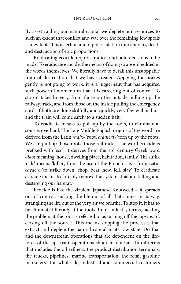By asset-raiding our natural capital we deplete our resources to such an extent that conflict and war over the remaining few spoils is inevitable. It is a certain and rapid escalation into anarchy, death and destruction of epic proportions.

Eradicating ecocide requires radical and bold decisions to be made. To eradicate ecocide, the means of doing so are embedded in the words themselves. We literally have to derail this unstoppable train of destruction that we have created. Applying the brakes gently is not going to work; it is a juggernaut that has acquired such powerful momentum that it is careering out of control. To stop it takes bravery, from those on the outside pulling up the railway track, and from those on the inside pulling the emergency cord. If both are done skilfully and quickly, very few will be hurt and the train will come safely to a sudden halt.

To eradicate means to pull up by the roots, to eliminate at source, overhaul. The Late Middle English origins of the word are derived from the Latin *radix- '*root', *eradicat*- 'torn up by the roots'. We can pull up those roots, those railtracks. The word ecocide is prefixed with 'eco'; it derives from the 16<sup>th</sup> century Greek word *oikos* meaning 'house, dwelling place, habitation, family.' The suffix 'cide' means 'killer', from the use of the French -*cide*, from Latin *caedere* 'to strike down, chop, beat, hew, fell, slay.' To eradicate ecocide means to forcibly remove the systems that are killing and destroying our habitat.

Ecocide is like the virulent Japanese Knotweed – it spreads out of control, sucking the life out of all that comes in its way, strangling the life out of the very air we breathe. To stop it, it has to be eliminated literally at the roots. In oil industry terms, tackling the problem at the root is referred to as turning off the 'upstream', closing off the source. This means stopping the processes that extract and deplete the natural capital in its raw state. Do that and the downstream operations that are dependent on the lifeforce of the upstream operations shudder to a halt. In oil terms that includes the oil refiners, the product distribution terminals, the trucks, pipelines, marine transportation, the retail gasoline marketers. The wholesale, industrial and commercial customers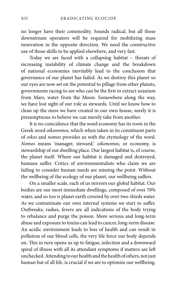no longer have their commodity. Sounds radical, but all those downstream operators will be required for mobilizing mass innovation in the opposite direction. We need the constructive use of those skills to be applied elsewhere, and very fast.

Today we are faced with a collapsing habitat – threats of increasing instability of climate change and the breakdown of national economies inevitably lead to the conclusion that governance of our planet has failed. As we destroy this planet so our eyes are now set on the potential to pillage from other planets, governments racing to see who can be the first to extract uranium from Mars, water from the Moon. Somewhere along the way, we have lost sight of our role as stewards. Until we know how to clean up the mess we have created in our own house, surely it is presumptuous to believe we can merely take from another.

It is no coincidence that the word economy has its roots in the Greek word *oikonomos,* which when taken in its constituent parts of *oikos* and *nomos* provides us with the etymology of the word. *Nomos* means 'manager, steward;' *oikonomos*, or economy, is stewardship of our dwelling place. Our largest habitat is, of course, the planet itself. Where our habitat is damaged and destroyed, humans suffer. Critics of environmentalists who claim we are failing to consider human needs are missing the point. Without the wellbeing of the ecology of our planet, our wellbeing suffers.

On a smaller scale, each of us mirrors our global habitat. Our bodies are our most immediate dwellings, composed of over 70% water, and so too is planet earth covered by over two-thirds water. As we contaminate our own internal systems we start to suffer. Outbreaks, rashes, fevers are all indications of the body trying to rebalance and purge the poison. More serious and long-term abuse and exposure to toxins can lead to cancer, long-term disease. An acidic environment leads to loss of health and can result in pollution of our blood cells, the very life force our body depends on. This in turn opens us up to fatigue, infection and a downward spiral of illness with all its attendant symptoms if matters are left unchecked. Attending to our health and the health of others, not just human but of all life, is crucial if we are to optimize our wellbeing.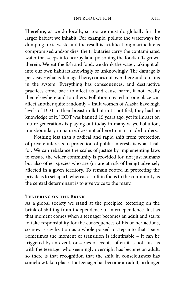Therefore, as we do locally, so too we must do globally for the larger habitat we inhabit. For example, pollute the waterways by dumping toxic waste and the result is acidification; marine life is compromised and/or dies, the tributaries carry the contaminated water that seeps into nearby land poisoning the foodstuffs grown therein. We eat the fish and food, we drink the water, taking it all into our own habitats knowingly or unknowingly. The damage is pervasive: what is damaged here, comes out over there and remains in the system. Everything has consequences, and destructive practices come back to affect us and cause harm, if not locally then elsewhere and to others. Pollution created in one place can affect another quite randomly – Inuit women of Alaska have high levels of DDT in their breast milk but until notified, they had no knowledge of it. <sup>3</sup> DDT was banned 15 years ago, yet its impact on future generations is playing out today in many ways. Pollution, transboundary in nature, does not adhere to man-made borders.

Nothing less than a radical and rapid shift from protection of private interests to protection of public interests is what I call for. We can rebalance the scales of justice by implementing laws to ensure the wider community is provided for, not just humans but also other species who are (or are at risk of being) adversely affected in a given territory. To remain rooted in protecting the private is to set apart, whereas a shift in focus to the community as the central determinant is to give voice to the many.

### **Teetering on the Brink**

As a global society we stand at the precipice, teetering on the brink of shifting from independence to interdependence. Just as that moment comes when a teenager becomes an adult and starts to take responsibility for the consequences of his or her actions, so now is civilization as a whole poised to step into that space. Sometimes the moment of transition is identifiable – it can be triggered by an event, or series of events; often it is not. Just as with the teenager who seemingly overnight has become an adult, so there is that recognition that the shift in consciousness has somehow taken place. The teenager has become an adult, no longer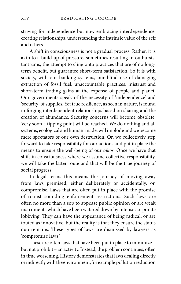striving for independence but now embracing interdependence, creating relationships, understanding the intrinsic value of the self and others.

A shift in consciousness is not a gradual process. Rather, it is akin to a build up of pressure, sometimes resulting in outbursts, tantrums, the attempt to cling onto practices that are of no longterm benefit, but guarantee short-term satisfaction. So it is with society, with our banking systems, our blind use of damaging extraction of fossil fuel, unaccountable practices, mistrust and short-term trading gains at the expense of people and planet. Our governments speak of the necessity of 'independence' and 'security' of supplies. Yet true resilience, as seen in nature, is found in forging interdependent relationships based on sharing and the creation of abundance. Security concerns will become obsolete. Very soon a tipping point will be reached. We do nothing and all systems, ecological and human-made, will implode and we become mere spectators of our own destruction. Or, we collectively step forward to take responsibility for our actions and put in place the means to ensure the well-being of our *oikos*. Once we have that shift in consciousness where we assume collective responsibility, we will take the latter route and that will be the true journey of social progress.

In legal terms this means the journey of moving away from laws premised, either deliberately or accidentally, on compromise. Laws that are often put in place with the promise of robust sounding enforcement restrictions. Such laws are often no more than a sop to appease public opinion or are weak instruments which have been watered down by intense corporate lobbying. They can have the appearance of being radical, or are touted as innovative, but the reality is that they ensure the status quo remains. These types of laws are dismissed by lawyers as 'compromise laws.'

These are often laws that have been put in place to minimize – but not prohibit – an activity. Instead, the problem continues, often in time worsening. History demonstrates that laws dealing directly or indirectly with the environment, for example pollution reduction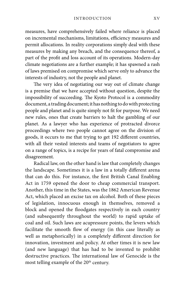measures, have comprehensively failed where reliance is placed on incremental mechanisms, limitations, efficiency measures and permit allocations. In reality corporations simply deal with these measures by making any breach, and the consequence thereof, a part of the profit and loss account of its operations. Modern-day climate negotiations are a further example; it has spawned a rash of laws premised on compromise which serve only to advance the interests of industry, not the people and planet.

The very idea of negotiating our way out of climate change is a premise that we have accepted without question, despite the impossibility of succeeding. The Kyoto Protocol is a commodity document, a trading document; it has nothing to do with protecting people and planet and is quite simply not fit for purpose. We need new rules, ones that create barriers to halt the gambling of our planet. As a lawyer who has experience of protracted divorce proceedings where two people cannot agree on the division of goods, it occurs to me that trying to get 192 different countries, with all their vested interests and teams of negotiators to agree on a range of topics, is a recipe for years of fatal compromise and disagreement.

Radical law, on the other hand is law that completely changes the landscape. Sometimes it is a law in a totally different arena that can do this. For instance, the first British Canal Enabling Act in 1759 opened the door to cheap commercial transport. Another, this time in the States, was the 1862 American Revenue Act, which placed an excise tax on alcohol. Both of these pieces of legislation, innocuous enough in themselves, removed a block and opened the floodgates respectively in each country (and subsequently throughout the world) to rapid uptake of coal and oil. Such laws are acupressure points, the levers which facilitate the smooth flow of energy (in this case literally as well as metaphorically) in a completely different direction for innovation, investment and policy. At other times it is new law (and new language) that has had to be invented to prohibit destructive practices. The international law of Genocide is the most telling example of the 20<sup>th</sup> century.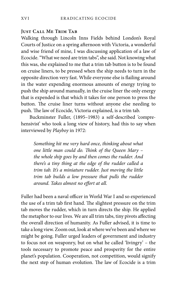### **Just Call Me Trim Tab**

Walking through Lincoln Inns Fields behind London's Royal Courts of Justice on a spring afternoon with Victoria, a wonderful and wise friend of mine, I was discussing application of a law of Ecocide. "What we need are trim tabs", she said. Not knowing what this was, she explained to me that a trim tab button is to be found on cruise liners, to be pressed when the ship needs to turn in the opposite direction very fast. While everyone else is flailing around in the water expending enormous amounts of energy trying to push the ship around manually, in the cruise liner the only energy that is expended is that which it takes for one person to press the button. The cruise liner turns without anyone else needing to push. The law of Ecocide, Victoria explained, is a trim tab.

Buckminster Fuller, (1895–1983) a self-described 'comprehensivist' who took a long view of history, had this to say when interviewed by *Playboy* in 1972:

*Something hit me very hard once, thinking about what one little man could do. Think of the Queen Mary – the whole ship goes by and then comes the rudder. And there's a tiny thing at the edge of the rudder called a trim tab. It's a miniature rudder. Just moving the little trim tab builds a low pressure that pulls the rudder around. Takes almost no effort at all.*

Fuller had been a naval officer in World War I and so experienced the use of a trim tab first hand. The slightest pressure on the trim tab moves the rudder, which in turn directs the ship. He applied the metaphor to our lives. We are all trim tabs, tiny pivots affecting the overall direction of humanity. As Fuller advised, it is time to take a long view. Zoom out, look at where we've been and where we might be going. Fuller urged leaders of government and industry to focus not on weaponry, but on what he called 'livingry' – the tools necessary to promote peace and prosperity for the entire planet's population. Cooperation, not competition, would signify the next step of human evolution. The law of Ecocide is a trim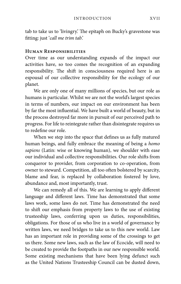tab to take us to 'livingry.' The epitaph on Bucky's gravestone was fitting: just '*call me trim tab*.'

### **Human Responsibilities**

Over time as our understanding expands of the impact our activities have, so too comes the recognition of an expanding responsibility. The shift in consciousness required here is an espousal of our collective responsibility for the ecology of our planet.

We are only one of many millions of species, but our role as humans is particular. Whilst we are not the world's largest species in terms of numbers, our impact on our environment has been by far the most influential. We have built a world of beauty, but in the process destroyed far more in pursuit of our perceived path to progress. For life to reintegrate rather than disintegrate requires us to redefine our role.

When we step into the space that defines us as fully matured human beings, and fully embrace the meaning of being a *homo sapiens* (Latin: wise or knowing human), we shoulder with ease our individual and collective responsibilities. Our role shifts from conqueror to provider, from corporation to co-operation, from owner to steward. Competition, all too often bolstered by scarcity, blame and fear, is replaced by collaboration fostered by love, abundance and, most importantly, trust.

We can remedy all of this. We are learning to apply different language and different laws. Time has demonstrated that some laws work, some laws do not. Time has demonstrated the need to shift our emphasis from property laws to the use of existing trusteeship laws, conferring upon us duties, responsibilities, obligations. For those of us who live in a world of governance by written laws, we need bridges to take us to this new world. Law has an important role in providing some of the crossings to get us there. Some new laws, such as the law of Ecocide, will need to be created to provide the footpaths in our new responsible world. Some existing mechanisms that have been lying defunct such as the United Nations Trusteeship Council can be dusted down,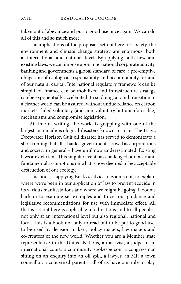taken out of abeyance and put to good use once again. We can do all of this and so much more.

The implications of the proposals set out here for society, the environment and climate change strategy are enormous, both at international and national level. By applying both new and existing laws, we can impose upon international corporate activity, banking and governments a global standard of care, a pre-emptive obligation of ecological responsibility and accountability for and of our natural capital. International regulatory framework can be simplified, finance can be mobilized and infrastructure strategy can be exponentially accelerated. In so doing, a rapid transition to a cleaner world can be assured, without undue reliance on carbon markets, failed voluntary (and non-voluntary but unenforceable) mechanisms and compromise legislation.

At time of writing, the world is grappling with one of the largest manmade ecological disasters known to man. The tragic Deepwater Horizon Gulf oil disaster has served to demonstrate a shortcoming that all – banks, governments as well as corporations and society in general – have until now underestimated. Existing laws are deficient. This singular event has challenged our basic and fundamental assumptions on what is now deemed to be acceptable destruction of our ecology.

This book is applying Bucky's advice; it zooms out, to explain where we've been in our application of law to prevent ecocide in its various manifestations and where we might be going. It zooms back in to examine set examples and to set out guidance and legislative recommendations for use with immediate effect. All that is set out here is applicable to all nations and to all peoples, not only at an international level but also regional, national and local. This is a book not only to read but to be put to good use; to be used by decision-makers, policy-makers, law-makers and co-creators of the new world. Whether you are a Member state representative in the United Nations, an activist, a judge in an international court, a community spokesperson, a congressman sitting on an enquiry into an oil spill, a lawyer, an MP, a town councillor, a concerned parent – all of us have our role to play.